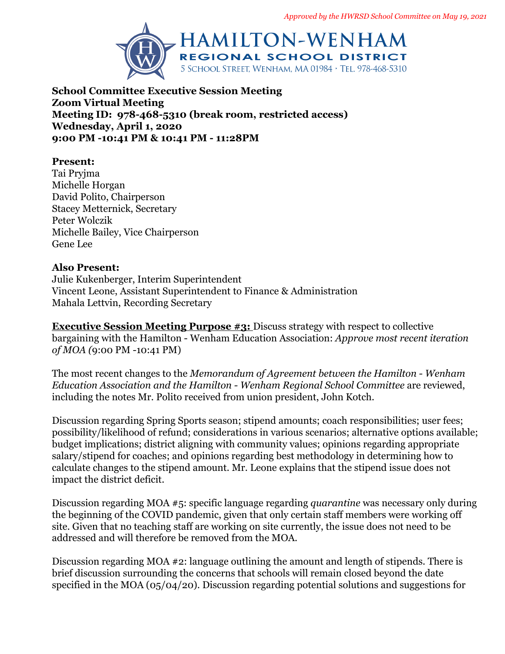

**School Committee Executive Session Meeting Zoom Virtual Meeting Meeting ID: 978-468-5310 (break room, restricted access) Wednesday, April 1, 2020 9:00 PM -10:41 PM & 10:41 PM - 11:28PM**

## **Present:**

Tai Pryjma Michelle Horgan David Polito, Chairperson Stacey Metternick, Secretary Peter Wolczik Michelle Bailey, Vice Chairperson Gene Lee

### **Also Present:**

Julie Kukenberger, Interim Superintendent Vincent Leone, Assistant Superintendent to Finance & Administration Mahala Lettvin, Recording Secretary

**Executive Session Meeting Purpose #3:** Discuss strategy with respect to collective bargaining with the Hamilton - Wenham Education Association: *Approve most recent iteration of MOA (*9:00 PM -10:41 PM)

The most recent changes to the *Memorandum of Agreement between the Hamilton - Wenham Education Association and the Hamilton - Wenham Regional School Committee* are reviewed, including the notes Mr. Polito received from union president, John Kotch.

Discussion regarding Spring Sports season; stipend amounts; coach responsibilities; user fees; possibility/likelihood of refund; considerations in various scenarios; alternative options available; budget implications; district aligning with community values; opinions regarding appropriate salary/stipend for coaches; and opinions regarding best methodology in determining how to calculate changes to the stipend amount. Mr. Leone explains that the stipend issue does not impact the district deficit.

Discussion regarding MOA #5: specific language regarding *quarantine* was necessary only during the beginning of the COVID pandemic, given that only certain staff members were working off site. Given that no teaching staff are working on site currently, the issue does not need to be addressed and will therefore be removed from the MOA.

Discussion regarding MOA #2: language outlining the amount and length of stipends. There is brief discussion surrounding the concerns that schools will remain closed beyond the date specified in the MOA (05/04/20). Discussion regarding potential solutions and suggestions for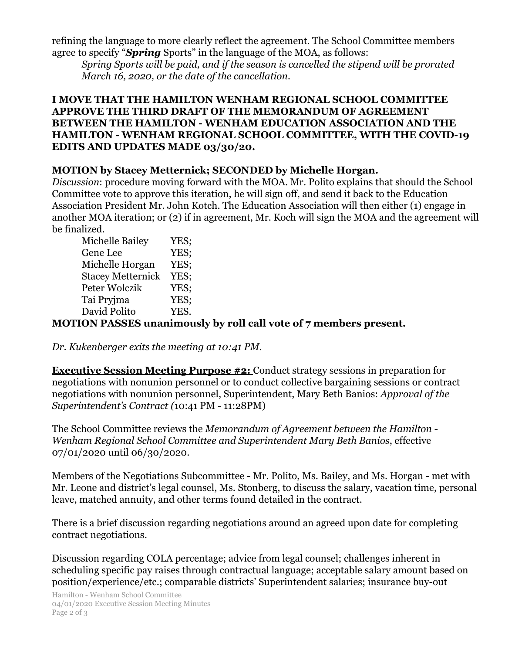refining the language to more clearly reflect the agreement. The School Committee members agree to specify "*Spring* Sports" in the language of the MOA, as follows:

*Spring Sports will be paid, and if the season is cancelled the stipend will be prorated March 16, 2020, or the date of the cancellation.*

### **I MOVE THAT THE HAMILTON WENHAM REGIONAL SCHOOL COMMITTEE APPROVE THE THIRD DRAFT OF THE MEMORANDUM OF AGREEMENT BETWEEN THE HAMILTON - WENHAM EDUCATION ASSOCIATION AND THE HAMILTON - WENHAM REGIONAL SCHOOL COMMITTEE, WITH THE COVID-19 EDITS AND UPDATES MADE 03/30/20.**

# **MOTION by Stacey Metternick; SECONDED by Michelle Horgan.**

*Discussion*: procedure moving forward with the MOA. Mr. Polito explains that should the School Committee vote to approve this iteration, he will sign off, and send it back to the Education Association President Mr. John Kotch. The Education Association will then either (1) engage in another MOA iteration; or (2) if in agreement, Mr. Koch will sign the MOA and the agreement will be finalized.

| <b>Michelle Bailey</b>   | YES; |
|--------------------------|------|
| Gene Lee                 | YES: |
| Michelle Horgan          | YES; |
| <b>Stacey Metternick</b> | YES: |
| Peter Wolczik            | YES: |
| Tai Pryjma               | YES: |
| David Polito             | YES. |
|                          |      |

# **MOTION PASSES unanimously by roll call vote of 7 members present.**

*Dr. Kukenberger exits the meeting at 10:41 PM.*

**Executive Session Meeting Purpose #2:** Conduct strategy sessions in preparation for negotiations with nonunion personnel or to conduct collective bargaining sessions or contract negotiations with nonunion personnel, Superintendent, Mary Beth Banios: *Approval of the Superintendent's Contract (*10:41 PM - 11:28PM)

The School Committee reviews the *Memorandum of Agreement between the Hamilton - Wenham Regional School Committee and Superintendent Mary Beth Banios*, effective 07/01/2020 until 06/30/2020.

Members of the Negotiations Subcommittee - Mr. Polito, Ms. Bailey, and Ms. Horgan - met with Mr. Leone and district's legal counsel, Ms. Stonberg, to discuss the salary, vacation time, personal leave, matched annuity, and other terms found detailed in the contract.

There is a brief discussion regarding negotiations around an agreed upon date for completing contract negotiations.

Discussion regarding COLA percentage; advice from legal counsel; challenges inherent in scheduling specific pay raises through contractual language; acceptable salary amount based on position/experience/etc.; comparable districts' Superintendent salaries; insurance buy-out